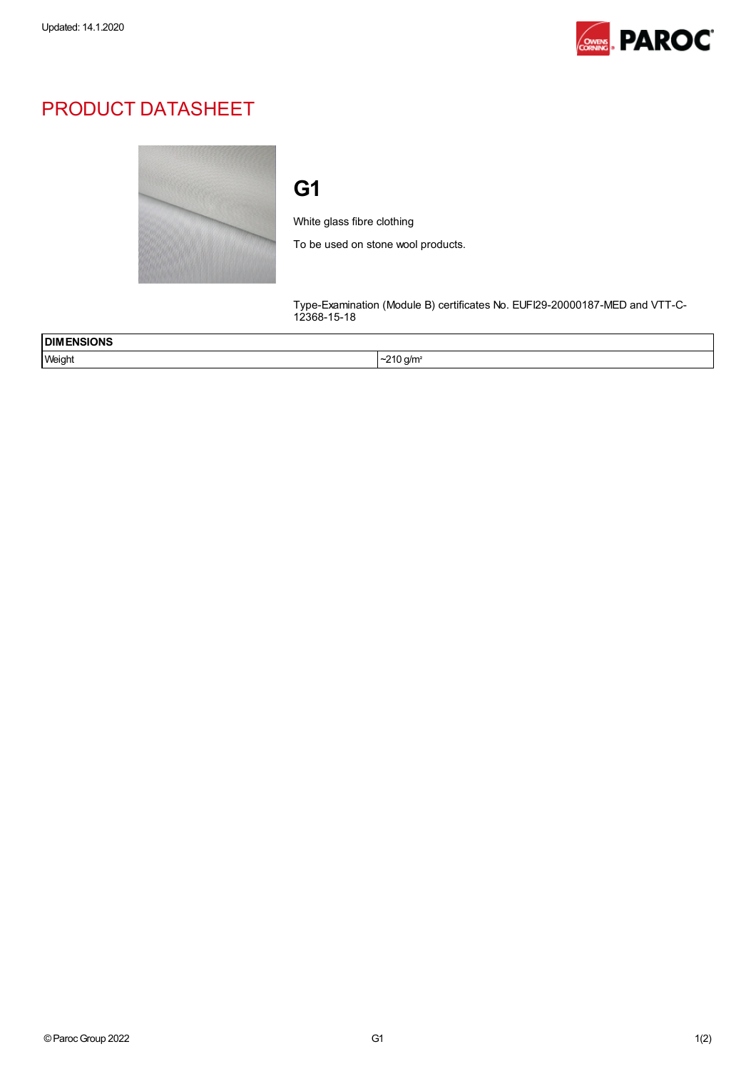

## PRODUCT DATASHEET



## G1

White glass fibre clothing

To be used on stone wool products.

Type-Examination (Module B) certificates No. EUFI29-20000187-MED and VTT-C-12368-15-18

| <b>DIM</b><br><b>ISIONS</b><br>___ |                                   |
|------------------------------------|-----------------------------------|
| Weight                             | $\sim$ $\sim$<br>J a/m<br>$\cdot$ |